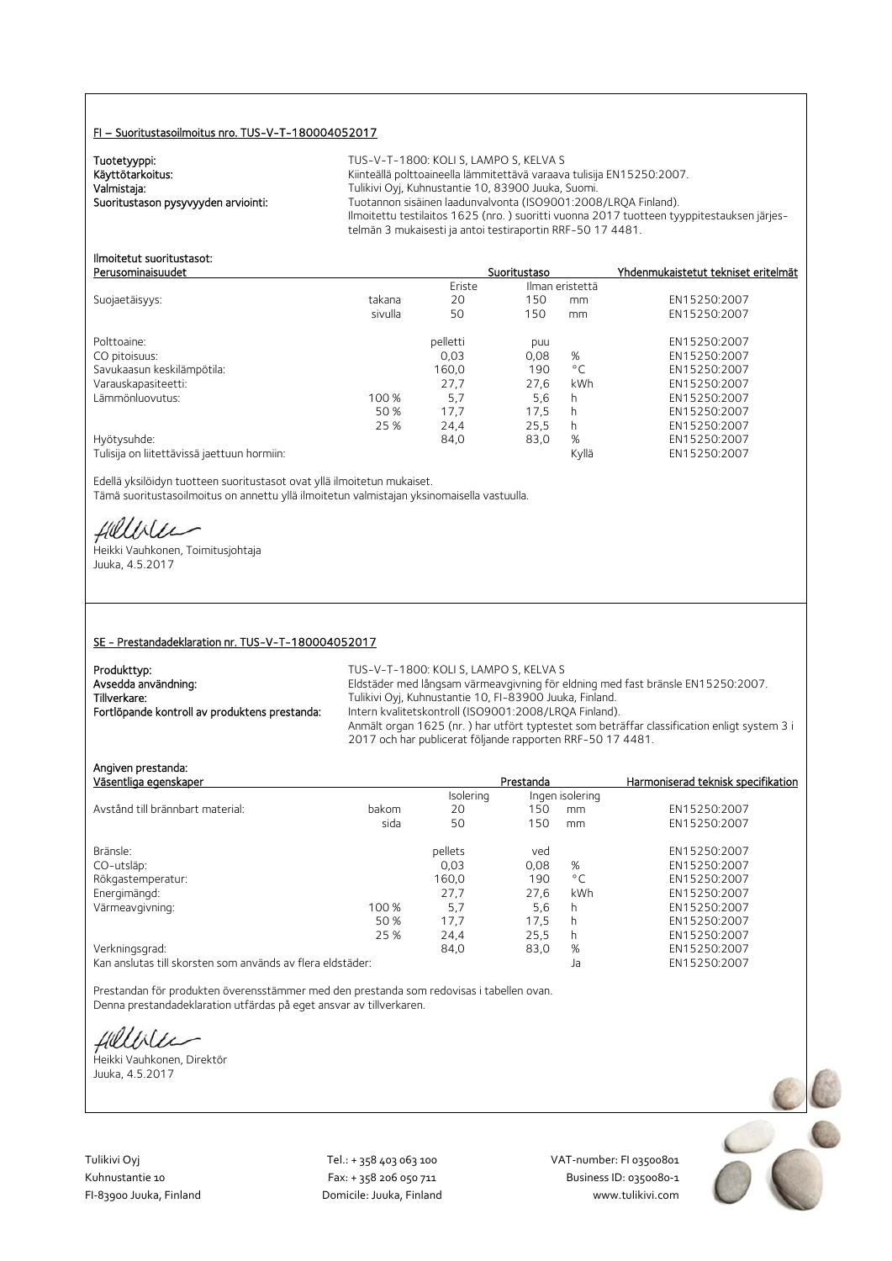#### FI – Suoritustasoilmoitus nro. TUS-V-T-180004052017

Tuotetyyppi:<br>Käyttötarkoitus:

TUS-V-T-1800: KOLI S, LAMPO S, KELVA S Käyttötarkoitus: Käyttötarkoitus: Käyttötarkoitus: Käyttötarkoitus: Käyttötarkoitus: Käyttötarkoitus: Käyttöta<br>Kalmistaja: Käyttötävä Tulikivi Oyj, Kuhnustantie 10, 83900 Juuka, Suomi. Valmistaja: Valmistaja: Tulikivi Oyj, Kuhnustantie 10, 83900 Juuka, Suomi.<br>2008–1:2008 Tuotannon sisäinen laadunvalvonta (ISO9001:2008 Tuotannon sisäinen laadunvalvonta (ISO9001:2008/LRQA Finland). Ilmoitettu testilaitos 1625 (nro. ) suoritti vuonna 2017 tuotteen tyyppitestauksen järjestelmän 3 mukaisesti ja antoi testiraportin RRF-50 17 4481.

#### Ilmoitetut suoritustasot: Perusominaisuudet Suoritustaso Yhdenmukaistetut tekniset eritelmät

|                                             |         | Eriste   | Ilman eristettä |              |              |
|---------------------------------------------|---------|----------|-----------------|--------------|--------------|
| Suojaetäisyys:                              | takana  | 20       | 150             | mm           | EN15250:2007 |
|                                             | sivulla | 50       | 150             | mm           | EN15250:2007 |
| Polttoaine:                                 |         | pelletti | puu             |              | EN15250:2007 |
| CO pitoisuus:                               |         | 0,03     | 0,08            | %            | EN15250:2007 |
| Savukaasun keskilämpötila:                  |         | 160,0    | 190             | $^{\circ}$ C | EN15250:2007 |
| Varauskapasiteetti:                         |         | 27.7     | 27.6            | kWh          | EN15250:2007 |
| Lämmönluovutus:                             | 100 %   | 5.7      | 5,6             | h            | EN15250:2007 |
|                                             | 50 %    | 17,7     | 17.5            | h            | EN15250:2007 |
|                                             | 25 %    | 24.4     | 25.5            | h            | EN15250:2007 |
| Hyötysuhde:                                 |         | 84,0     | 83,0            | %            | EN15250:2007 |
| Tulisija on liitettävissä jaettuun hormiin: |         |          |                 | Kyllä        | EN15250:2007 |

Edellä yksilöidyn tuotteen suoritustasot ovat yllä ilmoitetun mukaiset. Tämä suoritustasoilmoitus on annettu yllä ilmoitetun valmistajan yksinomaisella vastuulla.

Hillble

Heikki Vauhkonen, Toimitusjohtaja Juuka, 4.5.2017

#### SE - Prestandadeklaration nr. TUS-V-T-180004052017

| Produkttyp:                                   | TUS-V-T-1800: KOLI S. LAMPO S. KELVA S                                                      |
|-----------------------------------------------|---------------------------------------------------------------------------------------------|
| Avsedda användning:                           | Eldstäder med långsam värmeavgivning för eldning med fast bränsle EN15250:2007.             |
| Tillverkare:                                  | Tulikivi Oyj, Kuhnustantie 10, FI-83900 Juuka, Finland.                                     |
| Fortlöpande kontroll av produktens prestanda: | Intern kvalitetskontroll (ISO9001:2008/LRQA Finland).                                       |
|                                               | Anmält organ 1625 (nr.) har utfört typtestet som beträffar classification enligt system 3 i |
|                                               | 2017 och har publicerat följande rapporten RRF-50 17 4481.                                  |

| Angiven prestanda:<br>Väsentliga egenskaper |       |           | Prestanda |                 | Harmoniserad teknisk specifikation |
|---------------------------------------------|-------|-----------|-----------|-----------------|------------------------------------|
|                                             |       | Isolering |           | Ingen isolering |                                    |
| Avstånd till brännbart material:            | bakom | 20        | 150       | mm              | EN15250:2007                       |
|                                             | sida  | 50        | 150       | mm              | EN15250:2007                       |
| Bränsle:                                    |       | pellets   | ved       |                 | EN15250:2007                       |
| CO-utsläp:                                  |       | 0,03      | 0,08      | %               | EN15250:2007                       |
| Rökgastemperatur:                           |       | 160.0     | 190       | $^{\circ}$ C    | EN15250:2007                       |
| Energimängd:                                |       | 27,7      | 27.6      | kWh             | EN15250:2007                       |
| Värmeavgivning:                             | 100 % | 5,7       | 5,6       | h               | EN15250:2007                       |
|                                             | 50 %  | 17.7      | 17.5      | h               | EN15250:2007                       |
|                                             | 25 %  | 24,4      | 25,5      | h               | EN15250:2007                       |
| Verkningsgrad:                              |       | 84,0      | 83,0      | %               | EN15250:2007                       |
|                                             |       |           |           |                 |                                    |

Kan anslutas till skorsten som används av flera eldstäder: Ja EN15250:2007

Prestandan för produkten överensstämmer med den prestanda som redovisas i tabellen ovan. Denna prestandadeklaration utfärdas på eget ansvar av tillverkaren.

fielliter

Heikki Vauhkonen, Direktör Juuka, 4.5.2017

Tulikivi Oyj Tel.: + 358 403 063 100 VAT‐number: FI 03500801

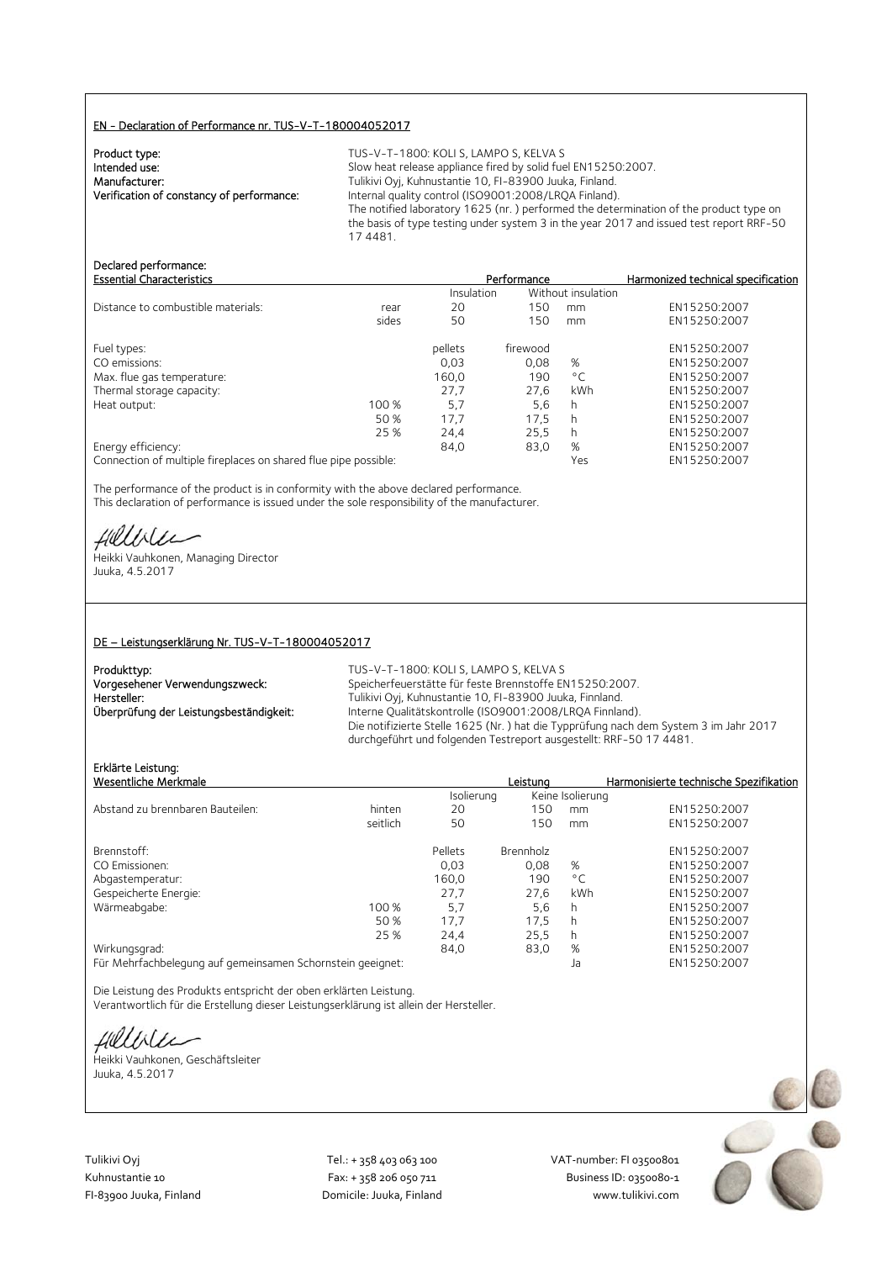#### EN - Declaration of Performance nr. TUS-V-T-180004052017

| Product type:                             |  |
|-------------------------------------------|--|
| Intended use:                             |  |
| Manufacturer:                             |  |
| Verification of constancy of performance: |  |
|                                           |  |

TUS-V-T-1800: KOLI S, LAMPO S, KELVA S Slow heat release appliance fired by solid fuel EN15250:2007. Tulikivi Oyj, Kuhnustantie 10, FI-83900 Juuka, Finland. Verification of constancy of performance: Internal quality control (ISO9001:2008/LRQA Finland). The notified laboratory 1625 (nr. ) performed the determination of the product type on the basis of type testing under system 3 in the year 2017 and issued test report RRF-50 17 4481.

## Declared performance:

| <b>Essential Characteristics</b>   |       |            | Performance |                    | Harmonized technical specification |
|------------------------------------|-------|------------|-------------|--------------------|------------------------------------|
|                                    |       | Insulation |             | Without insulation |                                    |
| Distance to combustible materials: | rear  | 20         | 150         | mm                 | EN15250:2007                       |
|                                    | sides | 50         | 150         | mm                 | EN15250:2007                       |
| Fuel types:                        |       | pellets    | firewood    |                    | EN15250:2007                       |
| CO emissions:                      |       | 0,03       | 0.08        | %                  | EN15250:2007                       |
| Max. flue gas temperature:         |       | 160.0      | 190         | $^{\circ}$ C       | EN15250:2007                       |
| Thermal storage capacity:          |       | 27.7       | 27.6        | <b>kWh</b>         | EN15250:2007                       |
| Heat output:                       | 100 % | 5,7        | 5,6         | h                  | EN15250:2007                       |
|                                    | 50 %  | 17,7       | 17,5        | h                  | EN15250:2007                       |
|                                    | 25 %  | 24,4       | 25,5        | h                  | EN15250:2007                       |
| Energy efficiency:                 |       | 84.0       | 83,0        | %                  | EN15250:2007                       |
|                                    |       |            |             |                    |                                    |

Connection of multiple fireplaces on shared flue pipe possible: Yes EN15250:2007

The performance of the product is in conformity with the above declared performance. This declaration of performance is issued under the sole responsibility of the manufacturer.

HUULLEE<br>Heikki Vauhkonen, Managing Director

Juuka, 4.5.2017

#### DE – Leistungserklärung Nr. TUS-V-T-180004052017

| Produkttyp:                             | TUS-V-T-1800: KOLI S, LAMPO S, KELVA S                                                                                                                     |
|-----------------------------------------|------------------------------------------------------------------------------------------------------------------------------------------------------------|
| Vorgesehener Verwendungszweck:          | Speicherfeuerstätte für feste Brennstoffe EN15250:2007.                                                                                                    |
| Hersteller:                             | Tulikivi Oyj, Kuhnustantie 10, FI-83900 Juuka, Finnland.                                                                                                   |
| Überprüfung der Leistungsbeständigkeit: | Interne Qualitätskontrolle (ISO9001:2008/LROA Finnland).                                                                                                   |
|                                         | Die notifizierte Stelle 1625 (Nr.) hat die Typprüfung nach dem System 3 im Jahr 2017<br>durchgeführt und folgenden Testreport ausgestellt: RRF-50 17 4481. |

## Erklärte Leistung:

|         | Leistuna                                                   |              | Harmonisierte technische Spezifikation |
|---------|------------------------------------------------------------|--------------|----------------------------------------|
|         |                                                            |              |                                        |
| 20      | 150                                                        | mm           | EN15250:2007                           |
| 50      | 150                                                        | mm           | EN15250:2007                           |
| Pellets | Brennholz                                                  |              | EN15250:2007                           |
| 0.03    | 0.08                                                       | %            | EN15250:2007                           |
| 160,0   | 190                                                        | $^{\circ}$ C | EN15250:2007                           |
| 27.7    | 27.6                                                       | kWh          | EN15250:2007                           |
| 5.7     | 5,6                                                        | h            | EN15250:2007                           |
| 17,7    | 17,5                                                       | h            | EN15250:2007                           |
| 24,4    | 25,5                                                       | h            | EN15250:2007                           |
| 84.0    | 83,0                                                       | %            | EN15250:2007                           |
|         |                                                            | Ja           | EN15250:2007                           |
| 25 %    | Für Mehrfachbelegung auf gemeinsamen Schornstein geeignet: | Isolierung   | Keine Isolierung                       |

Die Leistung des Produkts entspricht der oben erklärten Leistung. Verantwortlich für die Erstellung dieser Leistungserklärung ist allein der Hersteller.

fielliter

Heikki Vauhkonen, Geschäftsleiter Juuka, 4.5.2017



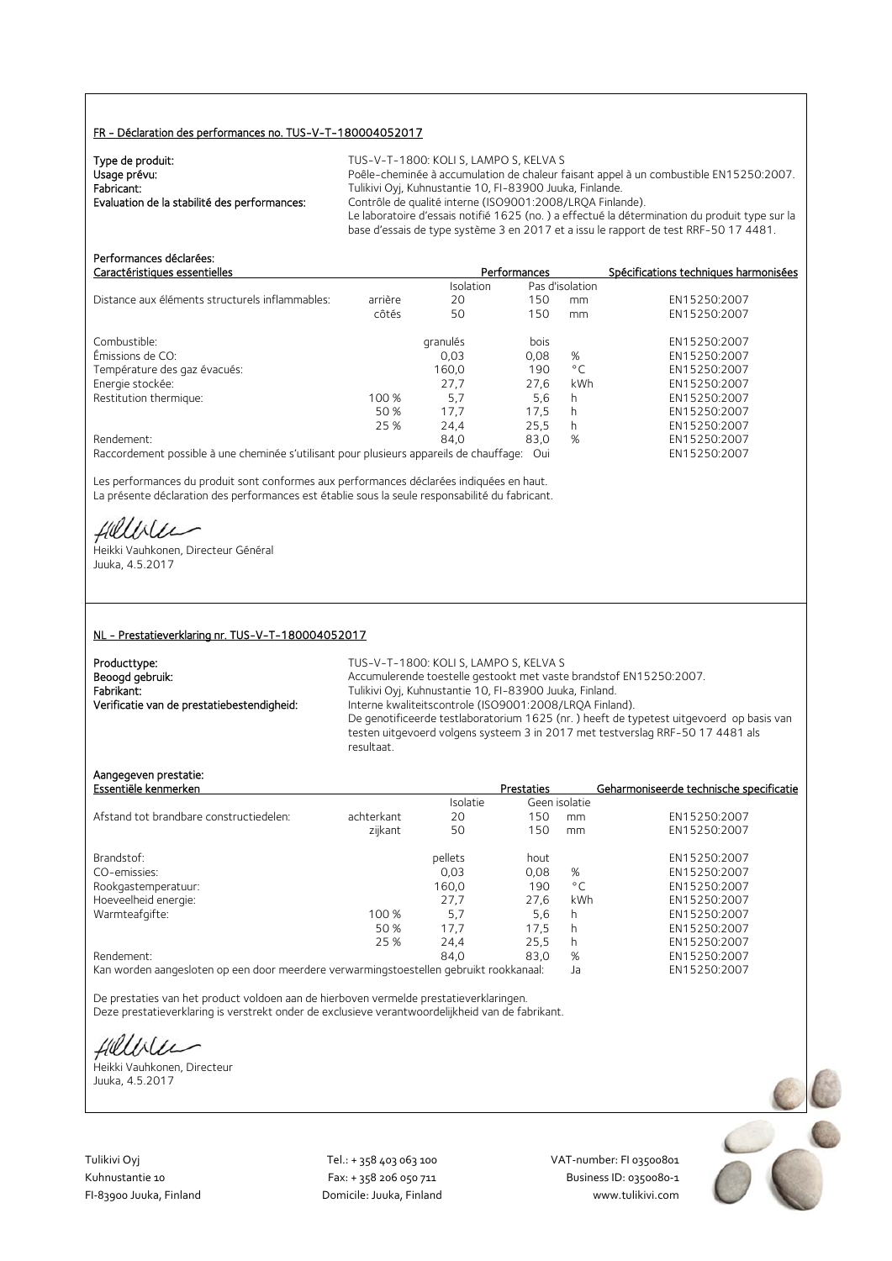#### FR - Déclaration des performances no. TUS-V-T-180004052017

| Type de produit:                             | TUS-V-T-1800: KOLI S, LAMPO S, KELVA S                                                        |
|----------------------------------------------|-----------------------------------------------------------------------------------------------|
| Usage prévu:                                 | Poêle-cheminée à accumulation de chaleur faisant appel à un combustible EN15250:2007.         |
| Fabricant:                                   | Tulikivi Oyj, Kuhnustantie 10, FI-83900 Juuka, Finlande.                                      |
| Evaluation de la stabilité des performances: | Contrôle de qualité interne (ISO9001:2008/LROA Finlande).                                     |
|                                              | Le laboratoire d'essais notifié 1625 (no.) a effectué la détermination du produit type sur la |
|                                              | base d'essais de type système 3 en 2017 et a issu le rapport de test RRF-50 17 4481.          |

| Performances déclarées:<br>Caractéristiques essentielles                                |         |           | Performances |                 | Spécifications techniques harmonisées |
|-----------------------------------------------------------------------------------------|---------|-----------|--------------|-----------------|---------------------------------------|
|                                                                                         |         | Isolation |              | Pas d'isolation |                                       |
| Distance aux éléments structurels inflammables:                                         | arrière | 20        | 150          | mm              | EN15250:2007                          |
|                                                                                         | côtés   | 50        | 150          | mm              | EN15250:2007                          |
| Combustible:                                                                            |         | granulés  | bois         |                 | EN15250:2007                          |
| Emissions de CO:                                                                        |         | 0,03      | 0,08         | %               | EN15250:2007                          |
| Température des gaz évacués:                                                            |         | 160.0     | 190          | $^{\circ}$ C    | EN15250:2007                          |
| Energie stockée:                                                                        |         | 27,7      | 27.6         | kWh             | EN15250:2007                          |
| Restitution thermique:                                                                  | 100 %   | 5.7       | 5,6          | h               | EN15250:2007                          |
|                                                                                         | 50 %    | 17.7      | 17,5         | h               | EN15250:2007                          |
|                                                                                         | 25 %    | 24.4      | 25.5         | h               | EN15250:2007                          |
| Rendement:                                                                              |         | 84.0      | 83,0         | %               | EN15250:2007                          |
| Raccordement possible à une cheminée s'utilisant pour plusieurs appareils de chauffage: |         |           | Oui          |                 | EN15250:2007                          |

Les performances du produit sont conformes aux performances déclarées indiquées en haut. La présente déclaration des performances est établie sous la seule responsabilité du fabricant.

Hillble

Heikki Vauhkonen, Directeur Général Juuka, 4.5.2017

#### NL - Prestatieverklaring nr. TUS-V-T-180004052017

| Producttype:                               |
|--------------------------------------------|
| Beoogd gebruik:                            |
| Fabrikant:                                 |
| Verificatie van de prestatiebestendigheid: |

TUS-V-T-1800: KOLI S, LAMPO S, KELVA S Accumulerende toestelle gestookt met vaste brandstof EN15250:2007. Fabrikant: Tulikivi Oyj, Kuhnustantie 10, FI-83900 Juuka, Finland. Interne kwaliteitscontrole (ISO9001:2008/LRQA Finland). De genotificeerde testlaboratorium 1625 (nr. ) heeft de typetest uitgevoerd op basis van testen uitgevoerd volgens systeem 3 in 2017 met testverslag RRF-50 17 4481 als resultaat.

#### Aangegeven prestatie:

| Essentiële kenmerken                    |            |          | Prestaties |               | Geharmoniseerde technische specificatie |
|-----------------------------------------|------------|----------|------------|---------------|-----------------------------------------|
|                                         |            | Isolatie |            | Geen isolatie |                                         |
| Afstand tot brandbare constructiedelen: | achterkant | 20       | 150        | mm            | EN15250:2007                            |
|                                         | zijkant    | 50       | 150        | mm            | EN15250:2007                            |
| Brandstof:                              |            | pellets  | hout       |               | EN15250:2007                            |
| CO-emissies:                            |            | 0.03     | 0.08       | %             | EN15250:2007                            |
| Rookgastemperatuur:                     |            | 160.0    | 190        | $^{\circ}$ C  | EN15250:2007                            |
| Hoeveelheid energie:                    |            | 27.7     | 27.6       | kWh           | EN15250:2007                            |
| Warmteafgifte:                          | 100 %      | 5,7      | 5.6        | h             | EN15250:2007                            |
|                                         | 50 %       | 17.7     | 17.5       | h             | EN15250:2007                            |
|                                         | 25 %       | 24,4     | 25,5       | h             | EN15250:2007                            |
| Rendement:                              |            | 84.0     | 83.0       | %             | EN15250:2007                            |
|                                         |            |          |            |               |                                         |

Kan worden aangesloten op een door meerdere verwarmingstoestellen gebruikt rookkanaal: Ja EN15250:2007

De prestaties van het product voldoen aan de hierboven vermelde prestatieverklaringen. Deze prestatieverklaring is verstrekt onder de exclusieve verantwoordelijkheid van de fabrikant.

Hillble

Heikki Vauhkonen, Directeur Juuka, 4.5.2017

Tulikivi Oyj Tel.: + 358 403 063 100 VAT‐number: FI 03500801

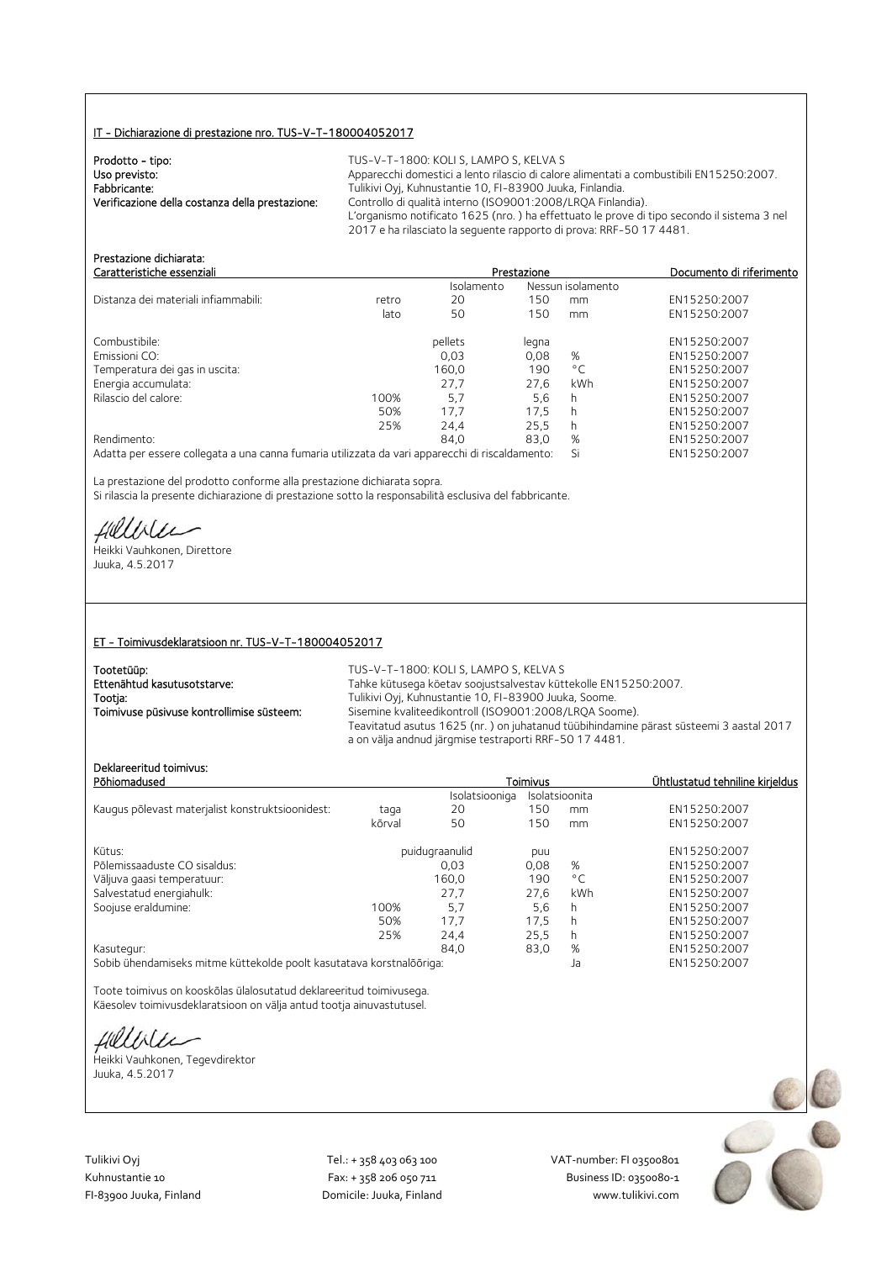#### IT - Dichiarazione di prestazione nro. TUS-V-T-180004052017

| Prodotto - tipo:                                | TUS-V-T-1800: KOLI S. LAMPO S. KELVA S                                                                                                                            |
|-------------------------------------------------|-------------------------------------------------------------------------------------------------------------------------------------------------------------------|
| Uso previsto:                                   | Apparecchi domestici a lento rilascio di calore alimentati a combustibili EN15250:2007.                                                                           |
| Fabbricante:                                    | Tulikivi Oyj, Kuhnustantie 10, FI-83900 Juuka, Finlandia.                                                                                                         |
| Verificazione della costanza della prestazione: | Controllo di qualità interno (ISO9001:2008/LROA Finlandia).                                                                                                       |
|                                                 | L'organismo notificato 1625 (nro.) ha effettuato le prove di tipo secondo il sistema 3 nel<br>2017 e ha rilasciato la sequente rapporto di prova: RRF-50 17 4481. |
|                                                 |                                                                                                                                                                   |

| Prestazione dichiarata.<br>Caratteristiche essenziali                                           |       | Prestazione | Documento di riferimento |              |              |
|-------------------------------------------------------------------------------------------------|-------|-------------|--------------------------|--------------|--------------|
|                                                                                                 |       | Isolamento  | Nessun isolamento        |              |              |
| Distanza dei materiali infiammabili:                                                            | retro | 20          | 150                      | mm           | EN15250:2007 |
|                                                                                                 | lato  | 50          | 150                      | mm           | EN15250:2007 |
| Combustibile:                                                                                   |       | pellets     | legna                    |              | EN15250:2007 |
| Emissioni CO:                                                                                   |       | 0.03        | 0,08                     | %            | EN15250:2007 |
| Temperatura dei gas in uscita:                                                                  |       | 160,0       | 190                      | $^{\circ}$ C | EN15250:2007 |
| Energia accumulata:                                                                             |       | 27,7        | 27,6                     | kWh          | EN15250:2007 |
| Rilascio del calore:                                                                            | 100%  | 5.7         | 5,6                      | h            | EN15250:2007 |
|                                                                                                 | 50%   | 17.7        | 17.5                     | h            | EN15250:2007 |
|                                                                                                 | 25%   | 24.4        | 25.5                     | h.           | EN15250:2007 |
| Rendimento:                                                                                     |       | 84.0        | 83.0                     | %            | EN15250:2007 |
| Adatta per essere collegata a una canna fumaria utilizzata da vari apparecchi di riscaldamento: |       |             |                          | Si           | EN15250:2007 |

La prestazione del prodotto conforme alla prestazione dichiarata sopra. Si rilascia la presente dichiarazione di prestazione sotto la responsabilità esclusiva del fabbricante.

Hillble

Prestazione dichiarata:

Heikki Vauhkonen, Direttore Juuka, 4.5.2017

#### ET - Toimivusdeklaratsioon nr. TUS-V-T-180004052017

| Tootetüüp:                                | TUS-V-T-1800: KOLI S. LAMPO S. KELVA S                                                                                                                                                                     |
|-------------------------------------------|------------------------------------------------------------------------------------------------------------------------------------------------------------------------------------------------------------|
| Ettenähtud kasutusotstarve:               | Tahke kütusega köetav soojustsalvestav küttekolle EN15250:2007.                                                                                                                                            |
| Tootja:                                   | Tulikivi Oyj, Kuhnustantie 10, FI-83900 Juuka, Soome.                                                                                                                                                      |
| Toimivuse püsivuse kontrollimise süsteem: | Sisemine kvaliteedikontroll (ISO9001:2008/LROA Soome).<br>Teavitatud asutus 1625 (nr.) on juhatanud tüübihindamine pärast süsteemi 3 aastal 2017<br>a on välja andnud järgmise testraporti RRF-50 17 4481. |

### Deklareeritud toimivus:

| DENIGI EEHLUU TUIHIIVUS.<br>Põhiomadused                                                             |        |                                  | Toimivus | Ühtlustatud tehniline kirieldus |               |
|------------------------------------------------------------------------------------------------------|--------|----------------------------------|----------|---------------------------------|---------------|
|                                                                                                      |        | Isolatsioonita<br>Isolatsiooniga |          |                                 |               |
| Kaugus põlevast materjalist konstruktsioonidest:                                                     | taga   | 20                               | 150      | mm                              | EN15250:2007  |
|                                                                                                      | kõrval | 50                               | 150      | mm                              | EN15250:2007  |
| Kütus:                                                                                               |        | puidugraanulid                   | puu      |                                 | EN15250:2007  |
| Põlemissaaduste CO sisaldus:                                                                         |        | 0.03                             | 0,08     | %                               | EN15250:2007  |
| Väljuva gaasi temperatuur:                                                                           |        | 160.0                            | 190      | $^{\circ}$ C                    | EN15250:2007  |
| Salvestatud energiahulk:                                                                             |        | 27.7                             | 27.6     | kWh                             | EN15250:2007  |
| Soojuse eraldumine:                                                                                  | 100%   | 5.7                              | 5,6      | h                               | EN15250:2007  |
|                                                                                                      | 50%    | 17,7                             | 17.5     |                                 | EN15250:2007  |
|                                                                                                      | 25%    | 24.4                             | 25,5     | h                               | EN15250:2007  |
| Kasutegur:                                                                                           |        | 84.0                             | 83,0     | %                               | EN15250:2007  |
| (Collette Alexandria) : La cartera de l'Alexandria de la carte la cartera del cartera del Brostolono |        |                                  |          |                                 | T114T2T2.2007 |

Sobib ühendamiseks mitme küttekolde poolt kasutatava korstnalõõriga: Ja EN15250:2007

Toote toimivus on kooskõlas ülalosutatud deklareeritud toimivusega. Käesolev toimivusdeklaratsioon on välja antud tootja ainuvastutusel.

fillbile

Heikki Vauhkonen, Tegevdirektor Juuka, 4.5.2017

Tulikivi Oyj Tel.: + 358 403 063 100 VAT‐number: FI 03500801

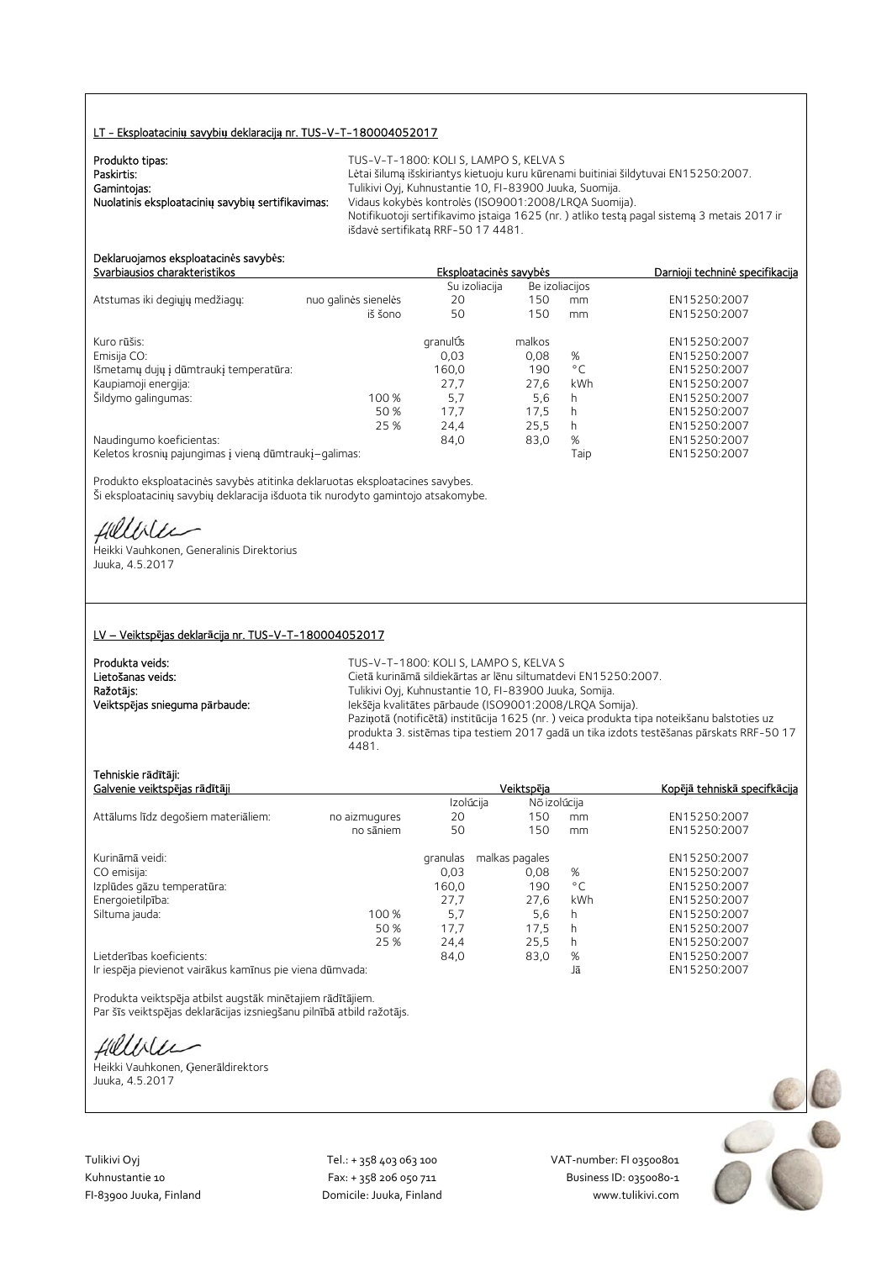#### LT - Eksploatacini**ų** savybi**ų** deklaracij**ą** nr. TUS-V-T-180004052017

| Produkto tipas:                                   | TUS-V-T-1800: KOLI S, LAMPO S, KELVA S                                                     |
|---------------------------------------------------|--------------------------------------------------------------------------------------------|
| Paskirtis:                                        | Lėtai šilumą išskiriantys kietuoju kuru kūrenami buitiniai šildytuvai EN15250:2007.        |
| Gamintojas:                                       | Tulikivi Oyj, Kuhnustantie 10, FI-83900 Juuka, Suomija.                                    |
| Nuolatinis eksploatacinių savybių sertifikavimas: | Vidaus kokybės kontrolės (ISO9001:2008/LRQA Suomija).                                      |
|                                                   | Notifikuotoji sertifikavimo istaiga 1625 (nr.) atliko testa pagal sistema 3 metais 2017 ir |
|                                                   | išdavė sertifikata RRF-50 17 4481.                                                         |

#### Deklaruojamos eksploatacin**ė**s savyb**ė**s: Svarbiausios charakteristikos Eksploatacin**ė**s savyb**ė**s Darnioji technin**ė** specifikacija

|                                                       |                      | Su izoliacija |        | Be izoliacijos |              |
|-------------------------------------------------------|----------------------|---------------|--------|----------------|--------------|
| Atstumas iki degiųjų medžiagų:                        | nuo galinės sienelės | 20            | 150    | mm             | EN15250:2007 |
|                                                       | iš šono              | 50            | 150    | mm             | EN15250:2007 |
| Kuro rūšis:                                           |                      | granulÚs      | malkos |                | EN15250:2007 |
| Emisija CO:                                           |                      | 0,03          | 0,08   | %              | EN15250:2007 |
| Išmetamų dujų į dūmtraukį temperatūra:                |                      | 160,0         | 190    | $^{\circ}$ C   | EN15250:2007 |
| Kaupiamoji energija:                                  |                      | 27.7          | 27.6   | kWh            | EN15250:2007 |
| Šildymo galingumas:                                   | 100 %                | 5,7           | 5,6    | h              | EN15250:2007 |
|                                                       | 50 %                 | 17.7          | 17.5   | h              | EN15250:2007 |
|                                                       | 25 %                 | 24.4          | 25.5   | h              | EN15250:2007 |
| Naudingumo koeficientas:                              |                      | 84,0          | 83,0   | %              | EN15250:2007 |
| Keletos krosnių pajungimas į vieną dūmtraukį-galimas: |                      |               |        | Taip           | EN15250:2007 |

Produkto eksploatacinės savybės atitinka deklaruotas eksploatacines savybes. Ši eksploatacinių savybių deklaracija išduota tik nurodyto gamintojo atsakomybe.

fielliter

Heikki Vauhkonen, Generalinis Direktorius Juuka, 4.5.2017

#### LV – Veiktsp**ē**jas deklar**ā**cija nr. TUS-V-T-180004052017

Produkta veids: TUS-V-T-1800: KOLI S, LAMPO S, KELVA S Lietošanas veids: Cietā kurināmā sildiekārtas ar lēnu siltumatdevi EN15250:2007.<br>
Ražotājs: Cietā kurināmā sildiekārtas ar lēnu siltumatdevi EN15250:2007. Ražot**ā**js: Tulikivi Oyj, Kuhnustantie 10, FI-83900 Juuka, Somija. Iekšēja kvalitātes pārbaude (ISO9001:2008/LRQA Somija). Paziņotā (notificētā) institūcija 1625 (nr. ) veica produkta tipa noteikšanu balstoties uz produkta 3. sistēmas tipa testiem 2017 gadā un tika izdots testēšanas pārskats RRF-50 17 4481.

#### Tehniskie r**ā**d**ī**t**ā**ji:

| Galvenie veiktspējas rādītāji                            |               |           | Veiktspēja     | Kopējā tehniskā specifkācija |              |
|----------------------------------------------------------|---------------|-----------|----------------|------------------------------|--------------|
|                                                          |               | Izolúcija | Nõ izolúcija   |                              |              |
| Attālums līdz degošiem materiāliem:                      | no aizmugures | 20        | 150            | mm                           | EN15250:2007 |
|                                                          | no sāniem     | 50        | 150            | mm                           | EN15250:2007 |
| Kurināmā veidi:                                          |               | granulas  | malkas pagales |                              | EN15250:2007 |
| CO emisija:                                              |               | 0.03      | 0.08           | %                            | EN15250:2007 |
| Izplūdes gāzu temperatūra:                               |               | 160,0     | 190            | °C                           | EN15250:2007 |
| Energoietilpība:                                         |               | 27,7      | 27.6           | kWh                          | EN15250:2007 |
| Siltuma jauda:                                           | 100 %         | 5.7       | 5,6            | h                            | EN15250:2007 |
|                                                          | 50 %          | 17.7      | 17.5           | h                            | EN15250:2007 |
|                                                          | 25 %          | 24,4      | 25.5           | h                            | EN15250:2007 |
| Lietderības koeficients:                                 |               | 84,0      | 83,0           | %                            | EN15250:2007 |
| Ir iespēja pievienot vairākus kamīnus pie viena dūmvada: |               |           |                | Jā                           | EN15250:2007 |

Produkta veiktspēja atbilst augstāk minētajiem rādītājiem. Par šīs veiktspējas deklarācijas izsniegšanu pilnībā atbild ražotājs.

fillble

Heikki Vauhkonen, Ģenerāldirektors Juuka, 4.5.2017

Tulikivi Oyj Tel.: + 358 403 063 100 VAT‐number: FI 03500801

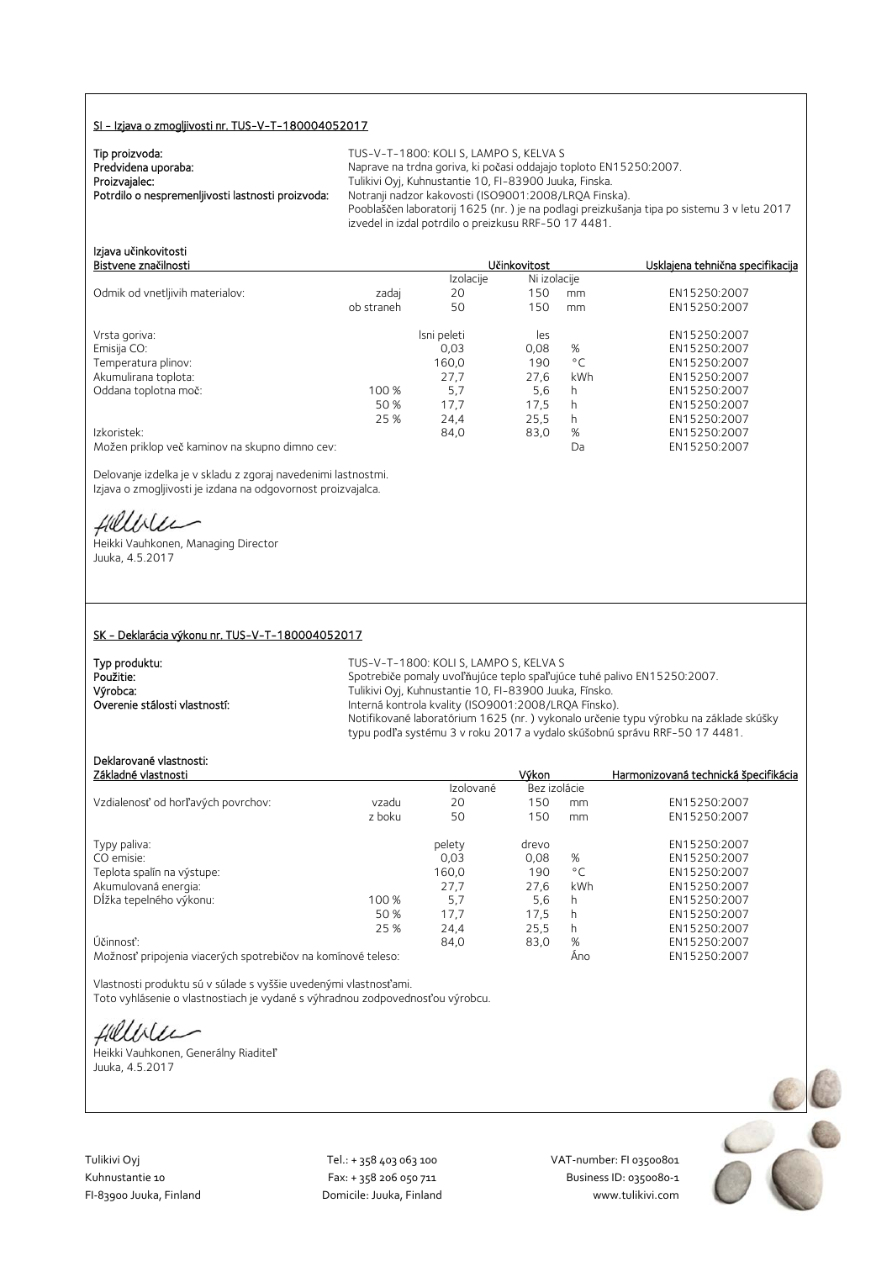#### SI - Izjava o zmogljivosti nr. TUS-V-T-180004052017

| Tip proizvoda:                                    | TUS-         |
|---------------------------------------------------|--------------|
| Predvidena uporaba:                               | <b>Napra</b> |
| Proizvajalec:                                     | Tuliki       |
| Potrdilo o nespremenliivosti lastnosti proizvoda: | Notra        |
|                                                   | Pooh         |

V-T-1800: KOLI S, LAMPO S, KELVA S rave na trdna goriva, ki počasi oddajajo toploto EN15250:2007. ivi Oyj, Kuhnustantie 10, FI-83900 Juuka, Finska. Potrdilo o nespremenljivosti lastnosti proizvoda: Notranji nadzor kakovosti (ISO9001:2008/LRQA Finska). blaščen laboratorij 1625 (nr. ) je na podlagi preizkušanja tipa po sistemu 3 v letu 2017 izvedel in izdal potrdilo o preizkusu RRF-50 17 4481.

Bistvene zna**č**ilnosti U**č**inkovitost Usklajena tehni**č**na specifikacija

# Izjava u**č**inkovitosti

|                                                |            | Izolacije   | Ni izolacije |              |              |
|------------------------------------------------|------------|-------------|--------------|--------------|--------------|
| Odmik od vnetljivih materialov:                | zadaj      | 20          | 150          | mm           | EN15250:2007 |
|                                                | ob straneh | 50          | 150          | mm           | EN15250:2007 |
| Vrsta goriva:                                  |            | Isni peleti | les          |              | EN15250:2007 |
| Emisija CO:                                    |            | 0,03        | 0,08         | %            | EN15250:2007 |
| Temperatura plinov:                            |            | 160,0       | 190          | $^{\circ}$ C | EN15250:2007 |
| Akumulirana toplota:                           |            | 27,7        | 27.6         | kWh          | EN15250:2007 |
| Oddana toplotna moč:                           | 100 %      | 5,7         | 5,6          | h            | EN15250:2007 |
|                                                | 50 %       | 17.7        | 17.5         | h            | EN15250:2007 |
|                                                | 25 %       | 24,4        | 25.5         | h            | EN15250:2007 |
| Izkoristek:                                    |            | 84,0        | 83,0         | %            | EN15250:2007 |
| Možen priklop več kaminov na skupno dimno cev: |            |             |              | Da           | EN15250:2007 |

Delovanje izdelka je v skladu z zgoraj navedenimi lastnostmi. Izjava o zmogljivosti je izdana na odgovornost proizvajalca.

fillble

Heikki Vauhkonen, Managing Director Juuka, 4.5.2017

#### SK - Deklarácia výkonu nr. TUS-V-T-180004052017

| Typ produktu:                 | TUS-V-T-1800: KOLI S, LAMPO S, KELVA S                                               |
|-------------------------------|--------------------------------------------------------------------------------------|
| Použitie:                     | Spotrebiče pomaly uvoľňujúce teplo spaľujúce tuhé palivo EN15250:2007.               |
| Výrobca:                      | Tulikivi Oyi, Kuhnustantie 10, FI-83900 Juuka, Fínsko.                               |
| Overenie stálosti vlastností: | Interná kontrola kvality (ISO9001:2008/LROA Fínsko).                                 |
|                               | Notifikované laboratórium 1625 (nr.) vykonalo určenie typu výrobku na základe skúšky |
|                               | typu podľa systému 3 v roku 2017 a vydalo skúšobnú správu RRF-50 17 4481.            |

## Deklarované vlastnosti:

| Základné vlastnosti                                                                                                                                                                                                                       |        |           | Výkon        |              | Harmonizovaná technická špecifikácia       |
|-------------------------------------------------------------------------------------------------------------------------------------------------------------------------------------------------------------------------------------------|--------|-----------|--------------|--------------|--------------------------------------------|
|                                                                                                                                                                                                                                           |        | Izolované | Bez izolácie |              |                                            |
| Vzdialenosť od horľavých povrchov:                                                                                                                                                                                                        | vzadu  | 20        | 150          | mm           | EN15250:2007                               |
|                                                                                                                                                                                                                                           | z boku | 50        | 150          | mm           | EN15250:2007                               |
| Typy paliva:                                                                                                                                                                                                                              |        | pelety    | drevo        |              | EN15250:2007                               |
| CO emisie:                                                                                                                                                                                                                                |        | 0.03      | 0.08         | %            | EN15250:2007                               |
| Teplota spalín na výstupe:                                                                                                                                                                                                                |        | 160,0     | 190          | $^{\circ}$ C | EN15250:2007                               |
| Akumulovaná energia:                                                                                                                                                                                                                      |        | 27.7      | 27.6         | kWh          | EN15250:2007                               |
| Dĺžka tepelného výkonu:                                                                                                                                                                                                                   | 100 %  | 5.7       | 5,6          | h            | EN15250:2007                               |
|                                                                                                                                                                                                                                           | 50 %   | 17.7      | 17.5         | h            | EN15250:2007                               |
|                                                                                                                                                                                                                                           | 25 %   | 24.4      | 25.5         | h            | EN15250:2007                               |
| Účinnosť:                                                                                                                                                                                                                                 |        | 84,0      | 83,0         | %            | EN15250:2007                               |
| $\Lambda$ $\Lambda$ a $\Xi$ and a $\Xi$ and a function of the angle $\Xi$ and a set of the set of the set of the set of the set of the set of the set of the set of the set of the set of the set of the set of the set of the set of the |        |           |              | $\Lambda -$  | $FMLT$ $T$ $T$ $T$ $T$ $T$ $T$ $T$ $T$ $T$ |

Možnosť pripojenia viacerých spotrebičov na komínové teleso: Áno EN15250:2007

Vlastnosti produktu sú v súlade s vyššie uvedenými vlastnosťami. Toto vyhlásenie o vlastnostiach je vydané s výhradnou zodpovednosťou výrobcu.

fillble

Heikki Vauhkonen, Generálny Riaditeľ Juuka, 4.5.2017